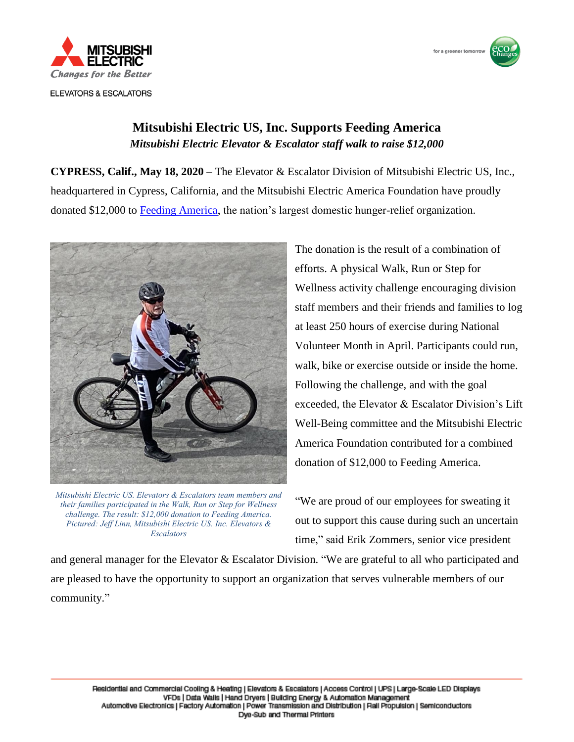

**ELEVATORS & ESCALATORS** 



## **Mitsubishi Electric US, Inc. Supports Feeding America** *Mitsubishi Electric Elevator & Escalator staff walk to raise \$12,000*

**CYPRESS, Calif., May 18, 2020** – The Elevator & Escalator Division of Mitsubishi Electric US, Inc., headquartered in Cypress, California, and the Mitsubishi Electric America Foundation have proudly donated \$12,000 to [Feeding America,](https://www.feedingamerica.org/) the nation's largest domestic hunger-relief organization.



*Mitsubishi Electric US. Elevators & Escalators team members and their families participated in the Walk, Run or Step for Wellness challenge. The result: \$12,000 donation to Feeding America. Pictured: Jeff Linn, Mitsubishi Electric US. Inc. Elevators & Escalators*

The donation is the result of a combination of efforts. A physical Walk, Run or Step for Wellness activity challenge encouraging division staff members and their friends and families to log at least 250 hours of exercise during National Volunteer Month in April. Participants could run, walk, bike or exercise outside or inside the home. Following the challenge, and with the goal exceeded, the Elevator & Escalator Division's Lift Well-Being committee and the Mitsubishi Electric America Foundation contributed for a combined donation of \$12,000 to Feeding America.

"We are proud of our employees for sweating it out to support this cause during such an uncertain time," said Erik Zommers, senior vice president

and general manager for the Elevator & Escalator Division. "We are grateful to all who participated and are pleased to have the opportunity to support an organization that serves vulnerable members of our community."